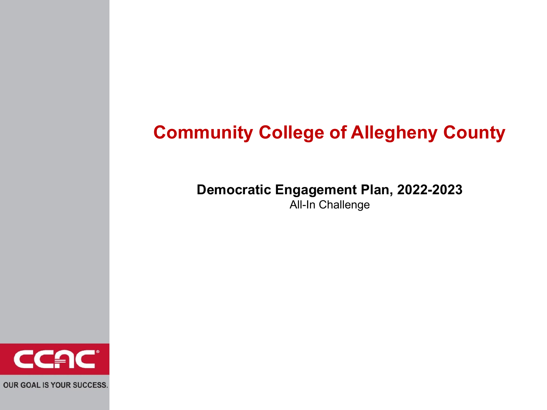#### **Community College of Allegheny County**

#### **Democratic Engagement Plan, 2022-2023** All-In Challenge

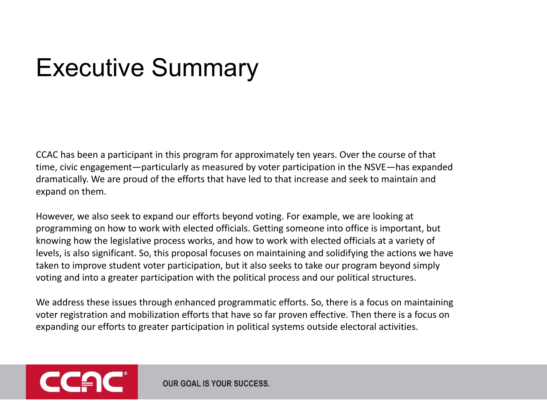#### Executive Summary

CCAC has been a participant in this program for approximately ten years. Over the course of that time, civic engagement—particularly as measured by voter participation in the NSVE—has expanded dramatically. We are proud of the efforts that have led to that increase and seek to maintain and expand on them.

However, we also seek to expand our efforts beyond voting. For example, we are looking at programming on how to work with elected officials. Getting someone into office is important, but knowing how the legislative process works, and how to work with elected officials at a variety of levels, is also significant. So, this proposal focuses on maintaining and solidifying the actions we have taken to improve student voter participation, but it also seeks to take our program beyond simply voting and into a greater participation with the political process and our political structures.

We address these issues through enhanced programmatic efforts. So, there is a focus on maintaining voter registration and mobilization efforts that have so far proven effective. Then there is a focus on expanding our efforts to greater participation in political systems outside electoral activities.

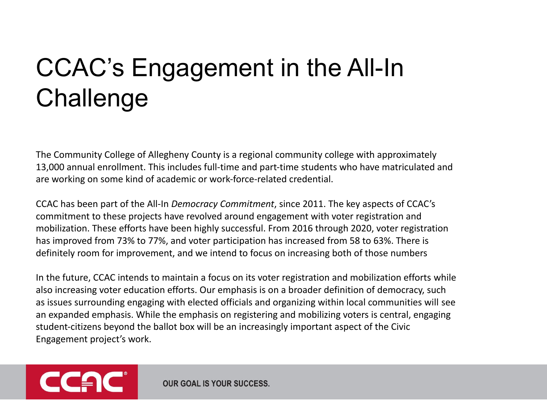## CCAC's Engagement in the All-In **Challenge**

The Community College of Allegheny County is a regional community college with approximately 13,000 annual enrollment. This includes full-time and part-time students who have matriculated and are working on some kind of academic or work-force-related credential.

CCAC has been part of the All-In *Democracy Commitment*, since 2011. The key aspects of CCAC's commitment to these projects have revolved around engagement with voter registration and mobilization. These efforts have been highly successful. From 2016 through 2020, voter registration has improved from 73% to 77%, and voter participation has increased from 58 to 63%. There is definitely room for improvement, and we intend to focus on increasing both of those numbers

In the future, CCAC intends to maintain a focus on its voter registration and mobilization efforts while also increasing voter education efforts. Our emphasis is on a broader definition of democracy, such as issues surrounding engaging with elected officials and organizing within local communities will see an expanded emphasis. While the emphasis on registering and mobilizing voters is central, engaging student-citizens beyond the ballot box will be an increasingly important aspect of the Civic Engagement project's work.

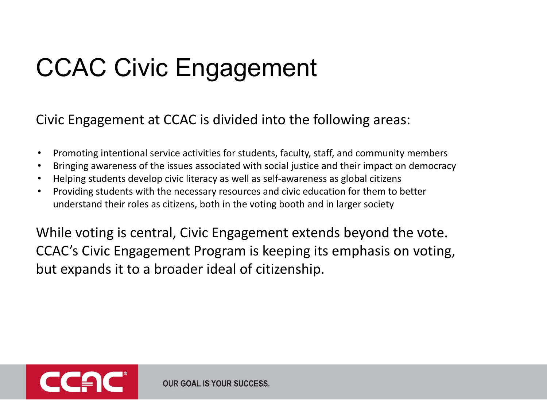## CCAC Civic Engagement

Civic Engagement at CCAC is divided into the following areas:

- Promoting intentional service activities for students, faculty, staff, and community members
- Bringing awareness of the issues associated with social justice and their impact on democracy
- Helping students develop civic literacy as well as self-awareness as global citizens
- Providing students with the necessary resources and civic education for them to better understand their roles as citizens, both in the voting booth and in larger society

While voting is central, Civic Engagement extends beyond the vote. CCAC's Civic Engagement Program is keeping its emphasis on voting, but expands it to a broader ideal of citizenship.

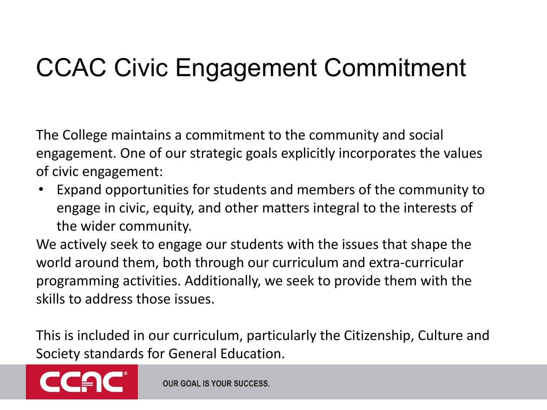## CCAC Civic Engagement Commitment

The College maintains a commitment to the community and social engagement. One of our strategic goals explicitly incorporates the values of civic engagement:

• Expand opportunities for students and members of the community to engage in civic, equity, and other matters integral to the interests of the wider community.

We actively seek to engage our students with the issues that shape the world around them, both through our curriculum and extra-curricular programming activities. Additionally, we seek to provide them with the skills to address those issues.

This is included in our curriculum, particularly the Citizenship, Culture and Society standards for General Education.

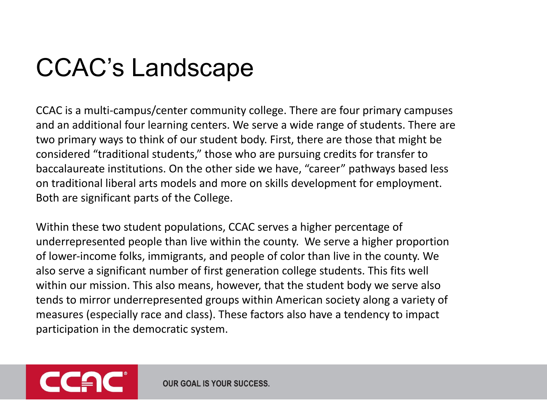## CCAC's Landscape

CCAC is a multi-campus/center community college. There are four primary campuses and an additional four learning centers. We serve a wide range of students. There are two primary ways to think of our student body. First, there are those that might be considered "traditional students," those who are pursuing credits for transfer to baccalaureate institutions. On the other side we have, "career" pathways based less on traditional liberal arts models and more on skills development for employment. Both are significant parts of the College.

Within these two student populations, CCAC serves a higher percentage of underrepresented people than live within the county. We serve a higher proportion of lower-income folks, immigrants, and people of color than live in the county. We also serve a significant number of first generation college students. This fits well within our mission. This also means, however, that the student body we serve also tends to mirror underrepresented groups within American society along a variety of measures (especially race and class). These factors also have a tendency to impact participation in the democratic system.

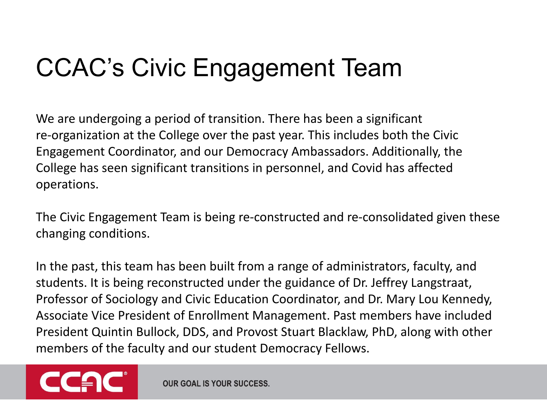## CCAC's Civic Engagement Team

We are undergoing a period of transition. There has been a significant re-organization at the College over the past year. This includes both the Civic Engagement Coordinator, and our Democracy Ambassadors. Additionally, the College has seen significant transitions in personnel, and Covid has affected operations.

The Civic Engagement Team is being re-constructed and re-consolidated given these changing conditions.

In the past, this team has been built from a range of administrators, faculty, and students. It is being reconstructed under the guidance of Dr. Jeffrey Langstraat, Professor of Sociology and Civic Education Coordinator, and Dr. Mary Lou Kennedy, Associate Vice President of Enrollment Management. Past members have included President Quintin Bullock, DDS, and Provost Stuart Blacklaw, PhD, along with other members of the faculty and our student Democracy Fellows.

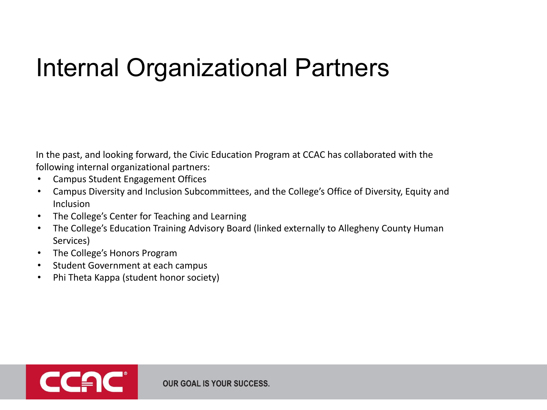## Internal Organizational Partners

In the past, and looking forward, the Civic Education Program at CCAC has collaborated with the following internal organizational partners:

- Campus Student Engagement Offices
- Campus Diversity and Inclusion Subcommittees, and the College's Office of Diversity, Equity and Inclusion
- The College's Center for Teaching and Learning
- The College's Education Training Advisory Board (linked externally to Allegheny County Human Services)
- The College's Honors Program
- Student Government at each campus
- Phi Theta Kappa (student honor society)

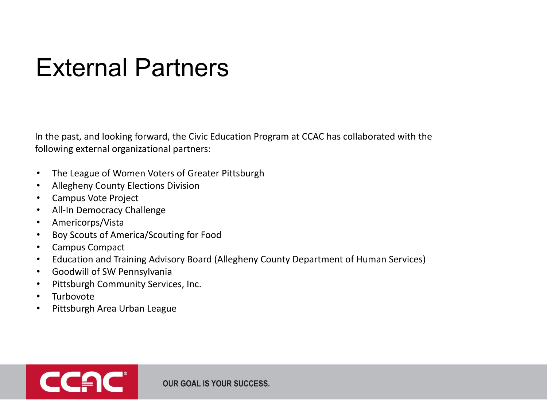#### External Partners

In the past, and looking forward, the Civic Education Program at CCAC has collaborated with the following external organizational partners:

- The League of Women Voters of Greater Pittsburgh
- Allegheny County Elections Division
- Campus Vote Project
- All-In Democracy Challenge
- Americorps/Vista
- Boy Scouts of America/Scouting for Food
- Campus Compact
- Education and Training Advisory Board (Allegheny County Department of Human Services)
- Goodwill of SW Pennsylvania
- Pittsburgh Community Services, Inc.
- **Turbovote**
- Pittsburgh Area Urban League

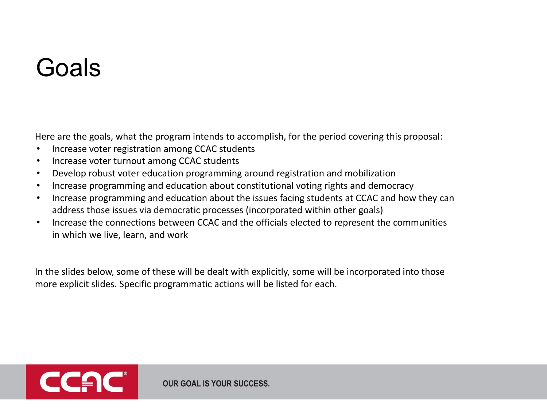#### Goals

Here are the goals, what the program intends to accomplish, for the period covering this proposal:

- Increase voter registration among CCAC students
- Increase voter turnout among CCAC students
- Develop robust voter education programming around registration and mobilization
- Increase programming and education about constitutional voting rights and democracy
- Increase programming and education about the issues facing students at CCAC and how they can address those issues via democratic processes (incorporated within other goals)
- Increase the connections between CCAC and the officials elected to represent the communities in which we live, learn, and work

In the slides below, some of these will be dealt with explicitly, some will be incorporated into those more explicit slides. Specific programmatic actions will be listed for each.

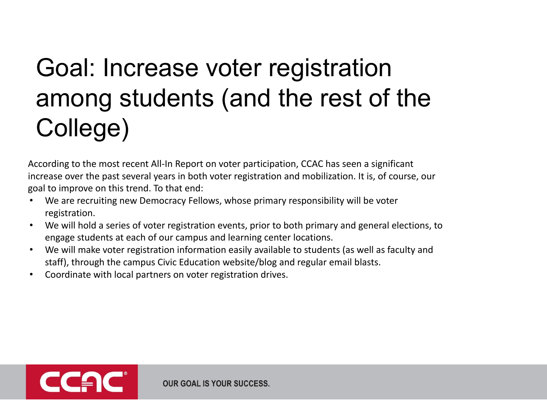## Goal: Increase voter registration among students (and the rest of the College)

According to the most recent All-In Report on voter participation, CCAC has seen a significant increase over the past several years in both voter registration and mobilization. It is, of course, our goal to improve on this trend. To that end:

- We are recruiting new Democracy Fellows, whose primary responsibility will be voter registration.
- We will hold a series of voter registration events, prior to both primary and general elections, to engage students at each of our campus and learning center locations.
- We will make voter registration information easily available to students (as well as faculty and staff), through the campus Civic Education website/blog and regular email blasts.
- Coordinate with local partners on voter registration drives.

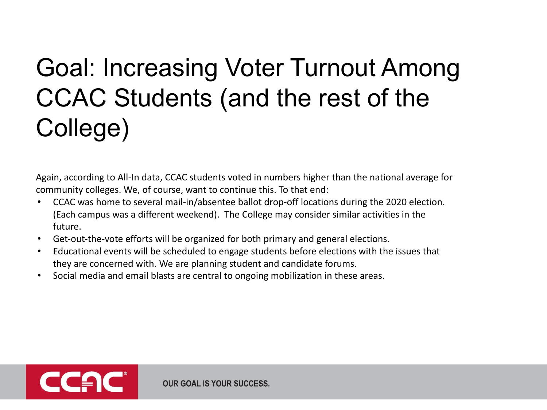## Goal: Increasing Voter Turnout Among CCAC Students (and the rest of the College)

Again, according to All-In data, CCAC students voted in numbers higher than the national average for community colleges. We, of course, want to continue this. To that end:

- CCAC was home to several mail-in/absentee ballot drop-off locations during the 2020 election. (Each campus was a different weekend). The College may consider similar activities in the future.
- Get-out-the-vote efforts will be organized for both primary and general elections.
- Educational events will be scheduled to engage students before elections with the issues that they are concerned with. We are planning student and candidate forums.
- Social media and email blasts are central to ongoing mobilization in these areas.

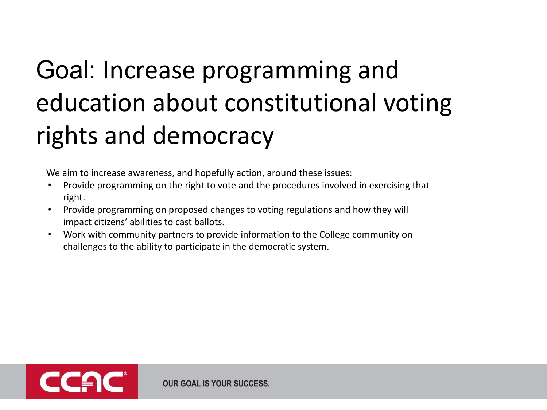# Goal: Increase programming and education about constitutional voting rights and democracy

We aim to increase awareness, and hopefully action, around these issues:

- Provide programming on the right to vote and the procedures involved in exercising that right.
- Provide programming on proposed changes to voting regulations and how they will impact citizens' abilities to cast ballots.
- Work with community partners to provide information to the College community on challenges to the ability to participate in the democratic system.

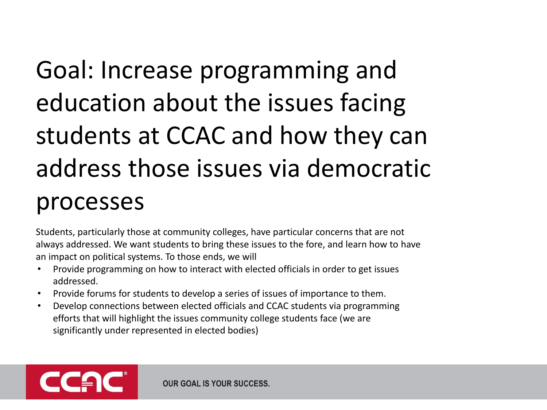# Goal: Increase programming and education about the issues facing students at CCAC and how they can address those issues via democratic processes

Students, particularly those at community colleges, have particular concerns that are not always addressed. We want students to bring these issues to the fore, and learn how to have an impact on political systems. To those ends, we will

- Provide programming on how to interact with elected officials in order to get issues addressed.
- Provide forums for students to develop a series of issues of importance to them.
- Develop connections between elected officials and CCAC students via programming efforts that will highlight the issues community college students face (we are significantly under represented in elected bodies)

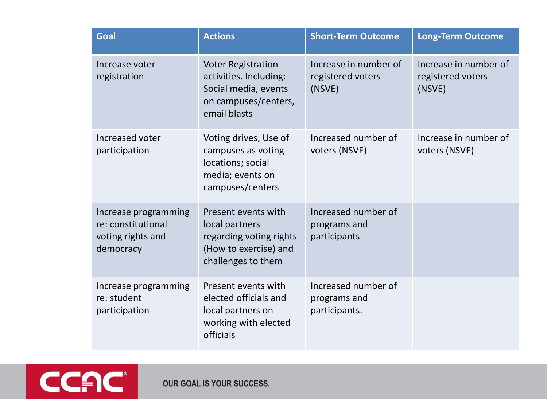| Goal                                                                         | <b>Actions</b>                                                                                                      | <b>Short-Term Outcome</b>                            | <b>Long-Term Outcome</b>                             |
|------------------------------------------------------------------------------|---------------------------------------------------------------------------------------------------------------------|------------------------------------------------------|------------------------------------------------------|
| Increase voter<br>registration                                               | <b>Voter Registration</b><br>activities. Including:<br>Social media, events<br>on campuses/centers,<br>email blasts | Increase in number of<br>registered voters<br>(NSVE) | Increase in number of<br>registered voters<br>(NSVE) |
| Increased voter<br>participation                                             | Voting drives; Use of<br>campuses as voting<br>locations; social<br>media; events on<br>campuses/centers            | Increased number of<br>voters (NSVE)                 | Increase in number of<br>voters (NSVE)               |
| Increase programming<br>re: constitutional<br>voting rights and<br>democracy | Present events with<br>local partners<br>regarding voting rights<br>(How to exercise) and<br>challenges to them     | Increased number of<br>programs and<br>participants  |                                                      |
| Increase programming<br>re: student<br>participation                         | Present events with<br>elected officials and<br>local partners on<br>working with elected<br>officials              | Increased number of<br>programs and<br>participants. |                                                      |

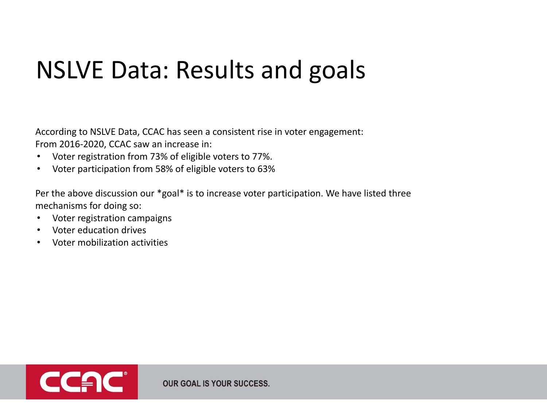#### NSLVE Data: Results and goals

According to NSLVE Data, CCAC has seen a consistent rise in voter engagement: From 2016-2020, CCAC saw an increase in:

- Voter registration from 73% of eligible voters to 77%.
- Voter participation from 58% of eligible voters to 63%

Per the above discussion our \*goal\* is to increase voter participation. We have listed three mechanisms for doing so:

- Voter registration campaigns
- Voter education drives
- Voter mobilization activities

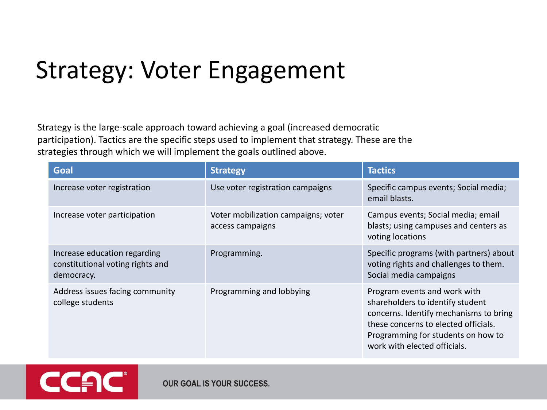#### Strategy: Voter Engagement

Strategy is the large-scale approach toward achieving a goal (increased democratic participation). Tactics are the specific steps used to implement that strategy. These are the strategies through which we will implement the goals outlined above.

| Goal                                                                           | <b>Strategy</b>                                         | <b>Tactics</b>                                                                                                                                                                                                           |
|--------------------------------------------------------------------------------|---------------------------------------------------------|--------------------------------------------------------------------------------------------------------------------------------------------------------------------------------------------------------------------------|
| Increase voter registration                                                    | Use voter registration campaigns                        | Specific campus events; Social media;<br>email blasts.                                                                                                                                                                   |
| Increase voter participation                                                   | Voter mobilization campaigns; voter<br>access campaigns | Campus events; Social media; email<br>blasts; using campuses and centers as<br>voting locations                                                                                                                          |
| Increase education regarding<br>constitutional voting rights and<br>democracy. | Programming.                                            | Specific programs (with partners) about<br>voting rights and challenges to them.<br>Social media campaigns                                                                                                               |
| Address issues facing community<br>college students                            | Programming and lobbying                                | Program events and work with<br>shareholders to identify student<br>concerns. Identify mechanisms to bring<br>these concerns to elected officials.<br>Programming for students on how to<br>work with elected officials. |

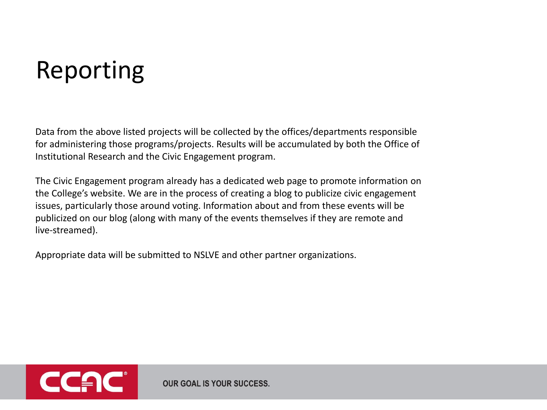## Reporting

Data from the above listed projects will be collected by the offices/departments responsible for administering those programs/projects. Results will be accumulated by both the Office of Institutional Research and the Civic Engagement program.

The Civic Engagement program already has a dedicated web page to promote information on the College's website. We are in the process of creating a blog to publicize civic engagement issues, particularly those around voting. Information about and from these events will be publicized on our blog (along with many of the events themselves if they are remote and live-streamed).

Appropriate data will be submitted to NSLVE and other partner organizations.